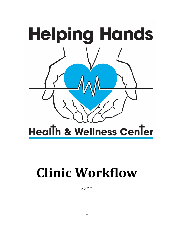

# **Clinic Workflow**

*July 2018*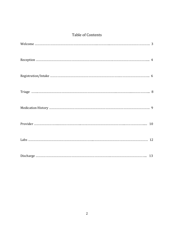# Table of Contents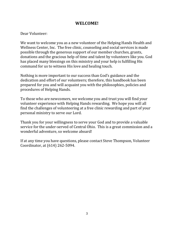### **WELCOME!**

Dear Volunteer:

We want to welcome you as a new volunteer of the Helping Hands Health and Wellness Center, Inc. The free clinic, counseling and social services is made possible through the generous support of our member churches, grants, donations and the gracious help of time and talent by volunteers like you. God has placed many blessings on this ministry and your help is fulfilling His command for us to witness His love and healing touch.

Nothing is more important to our success than God's guidance and the dedication and effort of our volunteers; therefore, this handbook has been prepared for you and will acquaint you with the philosophies, policies and procedures of Helping Hands.

To those who are newcomers, we welcome you and trust you will find your volunteer experience with Helping Hands rewarding. We hope you will all find the challenges of volunteering at a free clinic rewarding and part of your personal ministry to serve our Lord.

Thank you for your willingness to serve your God and to provide a valuable service for the under-served of Central Ohio. This is a great commission and a wonderful adventure, so welcome aboard!

If at any time you have questions, please contact Steve Thompson, Volunteer Coordinator, at (614) 262-5094.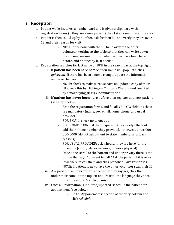#### 1. **Reception**

- a. Patient walks in, takes a number card and is given a clipboard with registration forms (if they are a new patient) then takes a seat in waiting area
- b. Patient is then called up by number, ask for their ID, and verify they are over 18 and their reason for visit
	- NOTE: once done with the ID, hand over to the other volunteer working at the table so that they can write down their name, reason for visit, whether they have been here before, and photocopy ID if needed
- c. Registration searches for last name or DOB in the search bar at the top right
	- i. **if patient has been here before**, their name will populate, click *quickview*. If there has been a name change, update the information and save changes
		- NOTE: check to make sure we have an updated copy of their ID. Check this by clicking on Clinical > Chart > Find (marked by a magnifying glass) > Administration
	- ii. **if patient has never been here before** then register as a new patient (see steps below)
		- Scan the registration forms, and fill all YELLOW fields as these are mandatory (name, sex, email, home phone, and usual provider)
		- FOR EMAIL: check no to opt out
		- FOR HOME PHONE: if their paperwork is already filled out add their phone number they provided, otherwise, enter 000- 000-0000 (do not ask patient to state number, for privacy reasons)
		- FOR USUAL PROVIDER: ask whether they are here for the following (clinic, lab, social work, or work physical)
		- Once done, scroll to the bottom and under privacy there is the option that says, "Consent to call." Ask the patient if it is okay if we were to call them and click response. Save responses
		- NOTE: if patient is new, have the other volunteer scan their ID
	- iii. Ask patient if an interpreter is needed. If they say yes, click the  $(!)$ under their name, at the top left and "Martti- the language they speak
		- Example: Martti- Spanish
	- iv. Once all information is inputted/updated, schedule the patient for appointment (see below).
		- Go to "Appointments" section at the very bottom and click *schedule*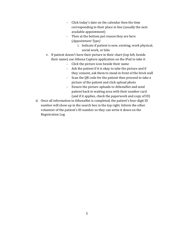- Click today's date on the calendar then the time corresponding to their place in line (usually the next available appointment)
- Then at the bottom put reason they are here (*Appointment Type)*
	- i. Indicate if patient is new, existing, work physical, social work, or labs
- v. If patient doesn't have their picture in their chart (top left, beside their name) use Athena Capture application on the iPad to take it
	- Click the picture icon beside their name
	- Ask the patient if it is okay to take the picture and if they consent, ask them to stand in front of the brick wall
	- Scan the QR code for the patient then proceed to take a picture of the patient and click upload photo
	- Ensure the picture uploads to AthenaNet and send patient back to waiting area with their number card (and if it applies, check the paperwork and copy of ID)
- d. Once all information in AthenaNet is completed, the patient's four-digit ID number will show up in the search box in the top right. Inform the other volunteer of the patient's ID number so they can write it down on the Registration Log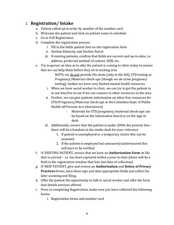# 2. **Registration/ Intake**

- a. Patient called up in order by number of the number card
- b. Welcome the patient and click on patient name in schedule
- c. Go to Full Registration
- d. Complete the registration process
	- i. Fill in the fields patient lists on the registration form
	- ii. Decline Ethnicity and Decline Portal
	- iii. If existing patients, confirm that fields are current and up-to-date, i.e. address, preferred method of contact, DOB, etc.
- e. Try to garner an idea as to why the patient is coming to clinic today to ensure that we can help them before they sit in waiting area

NOTE: we do not provide Flu shots (only in the fall), STD testing or Pregnancy/Maternal check-ups (though we do urine pregnancy testing), further we have very limited mental health resources

- i. When we have social worker in clinic, we can try to get the patient in to see him/her to see if we can connect to other resources in the area
- ii. Further, we can give patients information on other free resources for STD/Pregnancy/Maternal check-ups at the Columbus Dept. of Public Health off Parsons Ave (downtown)
	- Materials for STD/pregnancy/maternal check-ups can be found on the information board or on the sign in desk
- iii. Additionally, ensure that the patient is under 200% the poverty line there will be a handout at the intake desk for your reference
	- 1. If patient is unemployed or a temporary visitor this can be assumed
	- 2. If the patient is employed but uninsured/underinsured this will have to be verified
- f. IF EXISTING PATIENT, ensure that we have an **Authorization Form** on file that is current – i.e. has been captured within a year-to-date (there will be a field in the registration window that lists last date of collection)
- g. IF NEW PATIENT, give and review an **Authorization** and **Notice of Privacy Practices** forms, have them sign and date appropriate fields and collect for later scanning and filing.
- h. Offer the patient the opportunity to talk to social worker and offer the form that details services offered.
- i. Prior to completing Registration, make sure you have collected the following forms:
	- i. Registration forms and number card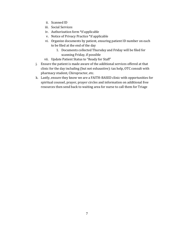- ii. Scanned ID
- iii. Social Services
- iv. Authorization form \*if applicable
- v. Notice of Privacy Practice \*if applicable
- vi. Organize documents by patient, ensuring patient ID number on each to be filed at the end of the day
	- 1. Documents collected Thursday and Friday will be filed for scanning Friday, if possible
- vii. Update Patient Status to "Ready for Staff"
- j. Ensure the patient is made aware of the additional services offered at that clinic for the day including (but not exhaustive): tax help, OTC consult with pharmacy student, Chiropractor, etc.
- k. Lastly, ensure they know we are a FAITH-BASED clinic with opportunities for spiritual counsel, prayer, prayer circles and information on additional free resources then send back to waiting area for nurse to call them for Triage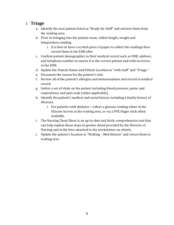#### 3. **Triage**

- a. Identify the next patient listed as "Ready for Staff" and retrieve them from the waiting area.
- b. Prior to bringing into the patient room, collect height, weight and temperature reading.
	- i. It is best to have a scratch piece of paper to collect the readings then record them in the EHR after
- c. Confirm patient demographics in their medical record such as DOB, address, and telephone number to ensure it is the correct patient and with no errors in the EHR.
- d. Update the Patient Status and Patient Location to "with staff" and "Triage."
- e. Document the reason for the patient's visit.
- f. Review all of the patient's allergies and immunizations and record in medical record.
- g. Gather a set of vitals on the patient including blood pressure, pulse, and respirations, and pain scale (when applicable).
- h. Identify the patient's medical and social history including a family history of illnesses.
	- i. For patients with diabetes collect a glucose reading either at the Glucose Screen in the waiting area, or via a POC finger stick when available.
- i. The Nursing Cheat Sheet is an up-to-date and fairly comprehensive tool that can help explain these steps in greater detail provided by the Director of Nursing and in the bins attached to the workstation on wheels.
- j. Update the patient's location to "Waiting Med History" and return them to waiting area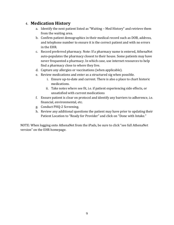# 4. **Medication History**

- a. Identify the next patient listed as "Waiting Med History" and retrieve them from the waiting area.
- b. Confirm patient demographics in their medical record such as DOB, address, and telephone number to ensure it is the correct patient and with no errors in the EHR.
- c. Record preferred pharmacy. Note: If a pharmacy name is entered, AthenaNet auto-populates the pharmacy closest to their house. Some patients may have never frequented a pharmacy. In which case, use internet resources to help find a pharmacy close to where they live.
- d. Capture any allergies or vaccinations (when applicable).
- e. Review medications and enter as a structured sig when possible.
	- i. Ensure up-to-date and current. There is also a place to chart historic medications.
	- ii. Take notes where see fit, i.e. if patient experiencing side effects, or unsatisfied with current medications
- f. Ensure patient is clear on protocol and identify any barriers to adherence, i.e. financial, environmental, etc.
- g. Conduct PHQ-2 Screening.
- h. Review any additional questions the patient may have prior to updating their Patient Location to "Ready for Provider" and click on "Done with Intake."

NOTE: When logging onto AthenaNet from the iPads, be sure to click "see full AthenaNet version" on the EHR homepage.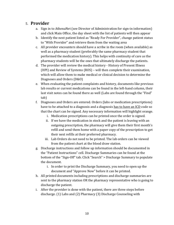# 5. **Provider**

- a. Sign in to AthenaNet (see Director of Administration for sign-in information) and click Main Office, the day sheet with the list of patients will then appear
- b. Identify the next patient listed as "Ready For Provider", change patient status to "With Provider" and retrieve them from the waiting area
- c. All provider encounters should have a scribe in the room (when available) as well as a pharmacy student (preferably the same pharmacy student that performed the medication history). This helps with continuity of care as the pharmacy students will be the ones that ultimately discharge the patients.
- d. The provider will review the medical history History of Present Illness (HPI) and Review of Systems (ROS) – will then complete their examination, which will allow them to make medical or clinical decision to determine the Diagnoses and Orders (D&O)
- e. When evaluating the patient complaints and history, documents like previous lab results or current medications can be found in the left-hand column, their last visit notes can be found there as well (Labs are found through the "Find" tab)
- f. Diagnoses and Orders are entered. Orders (labs or medication prescriptions) have to be attached to a diagnosis and a diagnosis has to have an ICD code so that the chart can be signed. Any necessary information will highlight orange.
	- i. Medication prescriptions can be printed once the order is signed.
	- ii. If we have the medication in stock and the patient is leaving with an outgoing prescription, the pharmacy will give them their first month's refill and send them home with a paper copy of the prescription to get their next refills at their preferred pharmacy.
	- iii. Lab Orders do not need to be printed. The lab orders can be viewed from the patient chart at the blood draw station.
- g. Discharge instructions and follow up information should be documented in the "Patient Instructions" cell. Discharge Summaries can be found at the bottom of the "Sign-Off" tab. Click "Search" > Discharge Summary to populate the document.
	- i. In order to print the Discharge Summary, you need to open up the document and "Approve Now" before it can be printed.
- h. All printed documents including prescriptions and discharge summaries are sent to the pharmacy station OR the pharmacy representative who is going to discharge the patient.
- i. After the provider is done with the patient, there are three steps before discharge. (1) Labs and (2) Pharmacy (3) Discharge Counseling with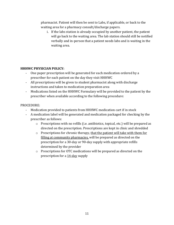pharmacist. Patient will then be sent to Labs, if applicable, or back to the waiting area for a pharmacy consult/discharge papers.

i. If the labs station is already occupied by another patient, the patient will go back to the waiting area. The lab station should still be notified verbally and in-person that a patient needs labs and is waiting in the waiting area.

#### **HHHWC PHYSICIAN POLICY:**

- One paper prescription will be generated for each medication ordered by a prescriber for each patient on the day they visit HHHWC
- All prescriptions will be given to student pharmacist along with discharge instructions and taken to medication preparation area
- Medications listed on the HHHWC Formulary will be provided to the patient by the prescriber when available according to the following procedure:

#### PROCEDURE:

- Medication provided to patients from HHHWC medication cart if in stock
- A medication label will be generated and medication packaged for checking by the prescriber as follows:
	- $\circ$  Prescriptions with no refills (i.e. antibiotics, topical, etc.) will be prepared as directed on the prescription. Prescriptions are kept in clinic and shredded
	- o Prescriptions for chronic therapy, that the patient will take with them for filling at community pharmacies, will be prepared as directed on the prescription for a 30-day or 90-day supply with appropriate refills determined by the provider
	- o Prescriptions for OTC medications will be prepared as directed on the prescription for a 14-day supply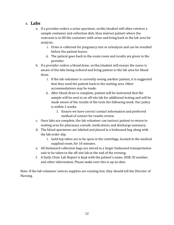#### 6. **Labs**

- a. If a provider orders a urine specimen, scribe/student will often retrieve a sample container and collection dish, then instruct patient where the restroom is to fill the container with urine and bring back to the lab area for analysis.
	- i. Urine is collected for pregnancy test or urinalysis and can be resulted before the patient leaves.
	- ii. The patient goes back to the exam room and results are given to the provider.
- b. If a provider orders a blood draw, scribe/student will ensure the nurse is aware of the labs being ordered and bring patient to the lab area for blood draw.
	- i. If the lab volunteer is currently seeing another patient, it is suggested that they send the patient back to the waiting area. Other accommodations may be made.
	- ii. After blood draw is complete, patient will be instructed that the sample will be sent to an off-site lab for additional testing and will be made aware of the results of the tests the following week. Our policy is within 2 weeks.
		- 1. Ensure we have correct contact information and preferred method of contact for results review
- c. Once labs are complete, the lab volunteer can instruct patient to return to waiting area for pharmacy consult, medications and discharge summary.
- d. The blood specimens are labeled and placed in a biohazard bag along with the lab order slip.
	- i. Gold-top tubes are to be spun in the centrifuge, located in the medical supplied room, for 10 minutes.
- e. All biohazard collection bags are stored in a larger biohazard transportation unit to be taken to the off-site lab at the end of the evening.
- f. A Daily Clinic Lab Report is kept with the patient's name, DOB, ID number, and other information. Please make sure this is up-to-date.

Note: If the lab volunteer notices supplies are running low, they should tell the Director of Nursing.